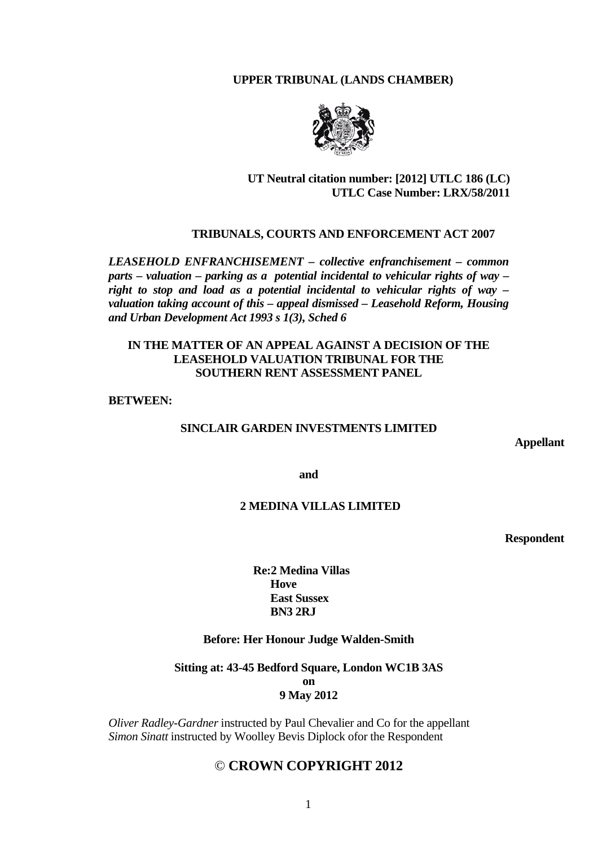## **UPPER TRIBUNAL (LANDS CHAMBER)**



# **UT Neutral citation number: [2012] UTLC 186 (LC) UTLC Case Number: LRX/58/2011**

### **TRIBUNALS, COURTS AND ENFORCEMENT ACT 2007**

*LEASEHOLD ENFRANCHISEMENT – collective enfranchisement – common parts – valuation – parking as a potential incidental to vehicular rights of way – right to stop and load as a potential incidental to vehicular rights of way – valuation taking account of this – appeal dismissed – Leasehold Reform, Housing and Urban Development Act 1993 s 1(3), Sched 6* 

## **IN THE MATTER OF AN APPEAL AGAINST A DECISION OF THE LEASEHOLD VALUATION TRIBUNAL FOR THE SOUTHERN RENT ASSESSMENT PANEL**

#### **BETWEEN:**

## **SINCLAIR GARDEN INVESTMENTS LIMITED**

 **Appellant** 

**and** 

### **2 MEDINA VILLAS LIMITED**

 **Respondent** 

**Re:2 Medina Villas Hove East Sussex BN3 2RJ** 

### **Before: Her Honour Judge Walden-Smith**

**Sitting at: 43-45 Bedford Square, London WC1B 3AS on 9 May 2012** 

*Oliver Radley-Gardner* instructed by Paul Chevalier and Co for the appellant *Simon Sinatt* instructed by Woolley Bevis Diplock ofor the Respondent

# © **CROWN COPYRIGHT 2012**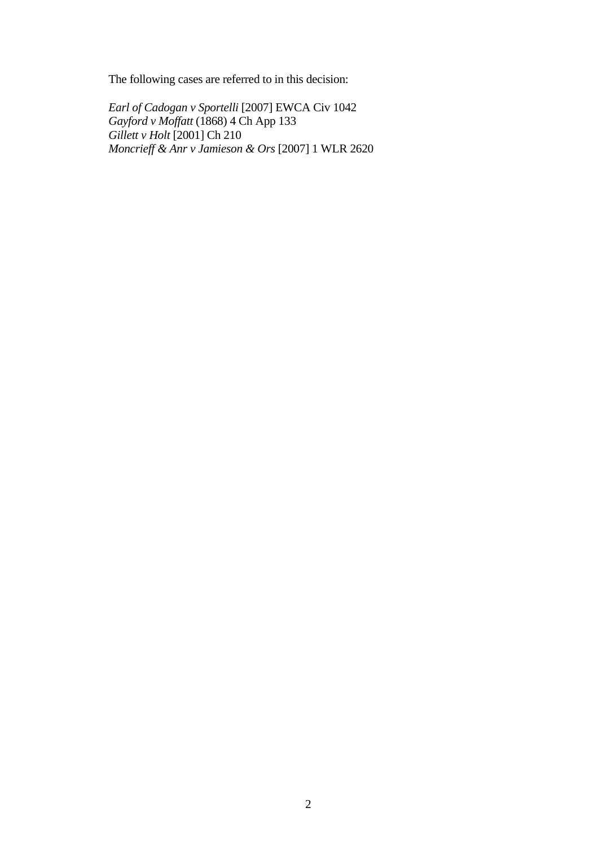The following cases are referred to in this decision:

*Earl of Cadogan v Sportelli* [2007] EWCA Civ 1042 *Gayford v Moffatt* (1868) 4 Ch App 133 *Gillett v Holt* [2001] Ch 210 *Moncrieff & Anr v Jamieson & Ors* [2007] 1 WLR 2620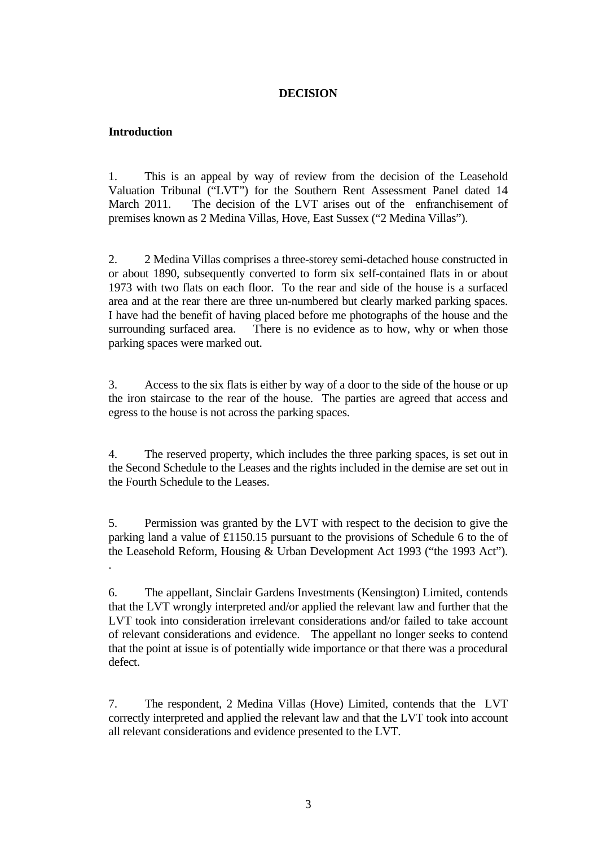## **DECISION**

# **Introduction**

1. This is an appeal by way of review from the decision of the Leasehold Valuation Tribunal ("LVT") for the Southern Rent Assessment Panel dated 14 March 2011. The decision of the LVT arises out of the enfranchisement of premises known as 2 Medina Villas, Hove, East Sussex ("2 Medina Villas").

2. 2 Medina Villas comprises a three-storey semi-detached house constructed in or about 1890, subsequently converted to form six self-contained flats in or about 1973 with two flats on each floor. To the rear and side of the house is a surfaced area and at the rear there are three un-numbered but clearly marked parking spaces. I have had the benefit of having placed before me photographs of the house and the surrounding surfaced area. There is no evidence as to how, why or when those parking spaces were marked out.

3. Access to the six flats is either by way of a door to the side of the house or up the iron staircase to the rear of the house. The parties are agreed that access and egress to the house is not across the parking spaces.

4. The reserved property, which includes the three parking spaces, is set out in the Second Schedule to the Leases and the rights included in the demise are set out in the Fourth Schedule to the Leases.

5. Permission was granted by the LVT with respect to the decision to give the parking land a value of £1150.15 pursuant to the provisions of Schedule 6 to the of the Leasehold Reform, Housing & Urban Development Act 1993 ("the 1993 Act"). .

6. The appellant, Sinclair Gardens Investments (Kensington) Limited, contends that the LVT wrongly interpreted and/or applied the relevant law and further that the LVT took into consideration irrelevant considerations and/or failed to take account of relevant considerations and evidence. The appellant no longer seeks to contend that the point at issue is of potentially wide importance or that there was a procedural defect.

7. The respondent, 2 Medina Villas (Hove) Limited, contends that the LVT correctly interpreted and applied the relevant law and that the LVT took into account all relevant considerations and evidence presented to the LVT.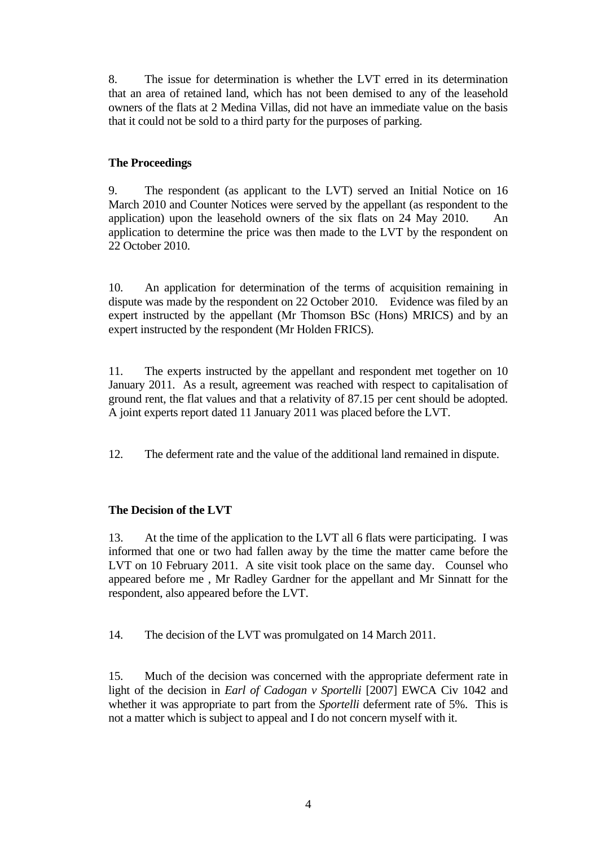8. The issue for determination is whether the LVT erred in its determination that an area of retained land, which has not been demised to any of the leasehold owners of the flats at 2 Medina Villas, did not have an immediate value on the basis that it could not be sold to a third party for the purposes of parking.

# **The Proceedings**

9. The respondent (as applicant to the LVT) served an Initial Notice on 16 March 2010 and Counter Notices were served by the appellant (as respondent to the application) upon the leasehold owners of the six flats on 24 May 2010. An application to determine the price was then made to the LVT by the respondent on 22 October 2010.

10. An application for determination of the terms of acquisition remaining in dispute was made by the respondent on 22 October 2010. Evidence was filed by an expert instructed by the appellant (Mr Thomson BSc (Hons) MRICS) and by an expert instructed by the respondent (Mr Holden FRICS).

11. The experts instructed by the appellant and respondent met together on 10 January 2011. As a result, agreement was reached with respect to capitalisation of ground rent, the flat values and that a relativity of 87.15 per cent should be adopted. A joint experts report dated 11 January 2011 was placed before the LVT.

12. The deferment rate and the value of the additional land remained in dispute.

# **The Decision of the LVT**

13. At the time of the application to the LVT all 6 flats were participating. I was informed that one or two had fallen away by the time the matter came before the LVT on 10 February 2011. A site visit took place on the same day. Counsel who appeared before me , Mr Radley Gardner for the appellant and Mr Sinnatt for the respondent, also appeared before the LVT.

14. The decision of the LVT was promulgated on 14 March 2011.

15. Much of the decision was concerned with the appropriate deferment rate in light of the decision in *Earl of Cadogan v Sportelli* [2007] EWCA Civ 1042 and whether it was appropriate to part from the *Sportelli* deferment rate of 5%. This is not a matter which is subject to appeal and I do not concern myself with it.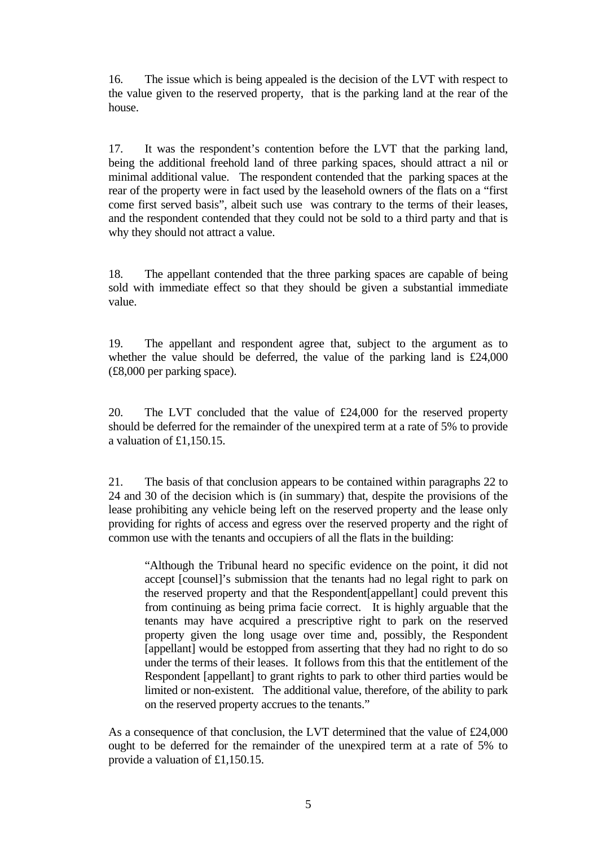16. The issue which is being appealed is the decision of the LVT with respect to the value given to the reserved property, that is the parking land at the rear of the house.

17. It was the respondent's contention before the LVT that the parking land, being the additional freehold land of three parking spaces, should attract a nil or minimal additional value. The respondent contended that the parking spaces at the rear of the property were in fact used by the leasehold owners of the flats on a "first come first served basis", albeit such use was contrary to the terms of their leases, and the respondent contended that they could not be sold to a third party and that is why they should not attract a value.

18. The appellant contended that the three parking spaces are capable of being sold with immediate effect so that they should be given a substantial immediate value.

19. The appellant and respondent agree that, subject to the argument as to whether the value should be deferred, the value of the parking land is £24,000 (£8,000 per parking space).

20. The LVT concluded that the value of £24,000 for the reserved property should be deferred for the remainder of the unexpired term at a rate of 5% to provide a valuation of £1,150.15.

21. The basis of that conclusion appears to be contained within paragraphs 22 to 24 and 30 of the decision which is (in summary) that, despite the provisions of the lease prohibiting any vehicle being left on the reserved property and the lease only providing for rights of access and egress over the reserved property and the right of common use with the tenants and occupiers of all the flats in the building:

"Although the Tribunal heard no specific evidence on the point, it did not accept [counsel]'s submission that the tenants had no legal right to park on the reserved property and that the Respondent[appellant] could prevent this from continuing as being prima facie correct. It is highly arguable that the tenants may have acquired a prescriptive right to park on the reserved property given the long usage over time and, possibly, the Respondent [appellant] would be estopped from asserting that they had no right to do so under the terms of their leases. It follows from this that the entitlement of the Respondent [appellant] to grant rights to park to other third parties would be limited or non-existent. The additional value, therefore, of the ability to park on the reserved property accrues to the tenants."

As a consequence of that conclusion, the LVT determined that the value of £24,000 ought to be deferred for the remainder of the unexpired term at a rate of 5% to provide a valuation of £1,150.15.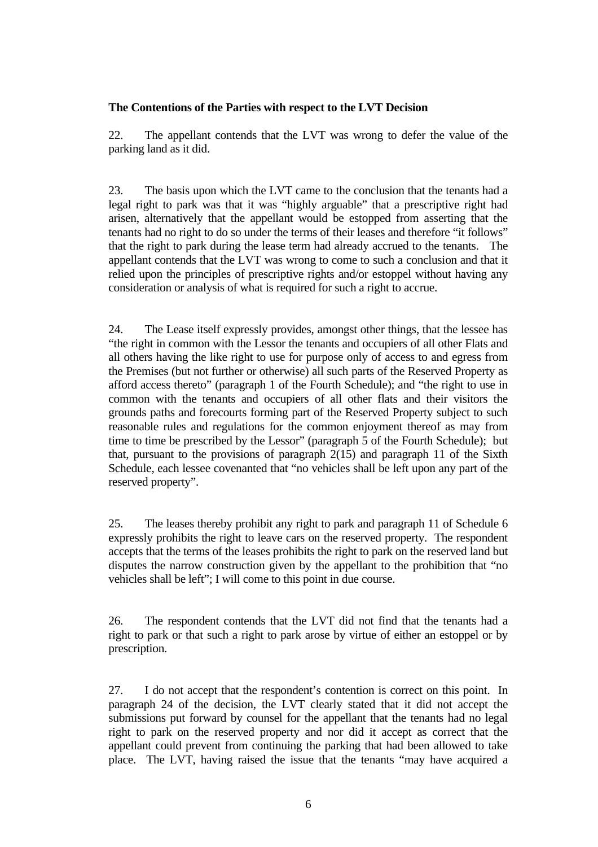## **The Contentions of the Parties with respect to the LVT Decision**

22. The appellant contends that the LVT was wrong to defer the value of the parking land as it did.

23. The basis upon which the LVT came to the conclusion that the tenants had a legal right to park was that it was "highly arguable" that a prescriptive right had arisen, alternatively that the appellant would be estopped from asserting that the tenants had no right to do so under the terms of their leases and therefore "it follows" that the right to park during the lease term had already accrued to the tenants. The appellant contends that the LVT was wrong to come to such a conclusion and that it relied upon the principles of prescriptive rights and/or estoppel without having any consideration or analysis of what is required for such a right to accrue.

24. The Lease itself expressly provides, amongst other things, that the lessee has "the right in common with the Lessor the tenants and occupiers of all other Flats and all others having the like right to use for purpose only of access to and egress from the Premises (but not further or otherwise) all such parts of the Reserved Property as afford access thereto" (paragraph 1 of the Fourth Schedule); and "the right to use in common with the tenants and occupiers of all other flats and their visitors the grounds paths and forecourts forming part of the Reserved Property subject to such reasonable rules and regulations for the common enjoyment thereof as may from time to time be prescribed by the Lessor" (paragraph 5 of the Fourth Schedule); but that, pursuant to the provisions of paragraph  $2(15)$  and paragraph 11 of the Sixth Schedule, each lessee covenanted that "no vehicles shall be left upon any part of the reserved property".

25. The leases thereby prohibit any right to park and paragraph 11 of Schedule 6 expressly prohibits the right to leave cars on the reserved property. The respondent accepts that the terms of the leases prohibits the right to park on the reserved land but disputes the narrow construction given by the appellant to the prohibition that "no vehicles shall be left"; I will come to this point in due course.

26. The respondent contends that the LVT did not find that the tenants had a right to park or that such a right to park arose by virtue of either an estoppel or by prescription.

27. I do not accept that the respondent's contention is correct on this point. In paragraph 24 of the decision, the LVT clearly stated that it did not accept the submissions put forward by counsel for the appellant that the tenants had no legal right to park on the reserved property and nor did it accept as correct that the appellant could prevent from continuing the parking that had been allowed to take place. The LVT, having raised the issue that the tenants "may have acquired a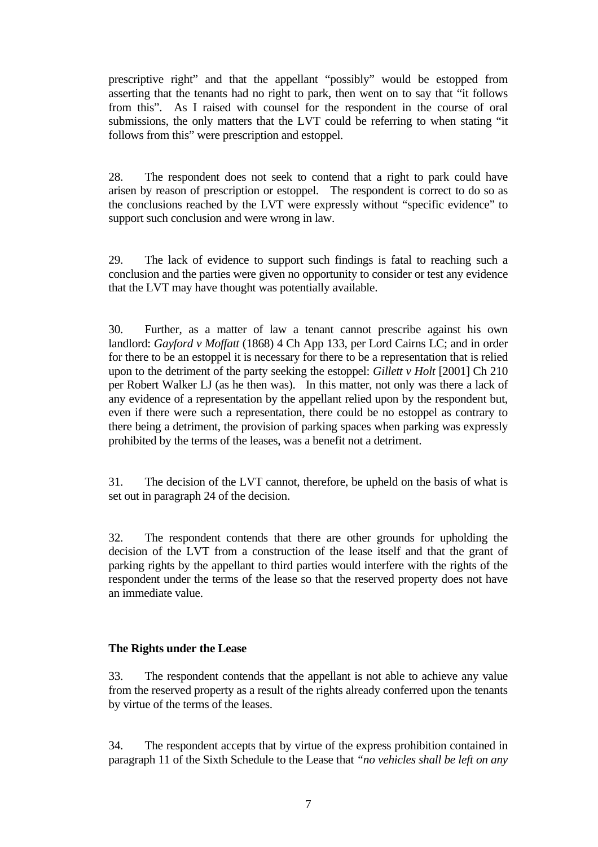prescriptive right" and that the appellant "possibly" would be estopped from asserting that the tenants had no right to park, then went on to say that "it follows from this". As I raised with counsel for the respondent in the course of oral submissions, the only matters that the LVT could be referring to when stating "it follows from this" were prescription and estoppel.

28. The respondent does not seek to contend that a right to park could have arisen by reason of prescription or estoppel. The respondent is correct to do so as the conclusions reached by the LVT were expressly without "specific evidence" to support such conclusion and were wrong in law.

29. The lack of evidence to support such findings is fatal to reaching such a conclusion and the parties were given no opportunity to consider or test any evidence that the LVT may have thought was potentially available.

30. Further, as a matter of law a tenant cannot prescribe against his own landlord: *Gayford v Moffatt* (1868) 4 Ch App 133, per Lord Cairns LC; and in order for there to be an estoppel it is necessary for there to be a representation that is relied upon to the detriment of the party seeking the estoppel: *Gillett v Holt* [2001] Ch 210 per Robert Walker LJ (as he then was). In this matter, not only was there a lack of any evidence of a representation by the appellant relied upon by the respondent but, even if there were such a representation, there could be no estoppel as contrary to there being a detriment, the provision of parking spaces when parking was expressly prohibited by the terms of the leases, was a benefit not a detriment.

31. The decision of the LVT cannot, therefore, be upheld on the basis of what is set out in paragraph 24 of the decision.

32. The respondent contends that there are other grounds for upholding the decision of the LVT from a construction of the lease itself and that the grant of parking rights by the appellant to third parties would interfere with the rights of the respondent under the terms of the lease so that the reserved property does not have an immediate value.

# **The Rights under the Lease**

33. The respondent contends that the appellant is not able to achieve any value from the reserved property as a result of the rights already conferred upon the tenants by virtue of the terms of the leases.

34. The respondent accepts that by virtue of the express prohibition contained in paragraph 11 of the Sixth Schedule to the Lease that *"no vehicles shall be left on any*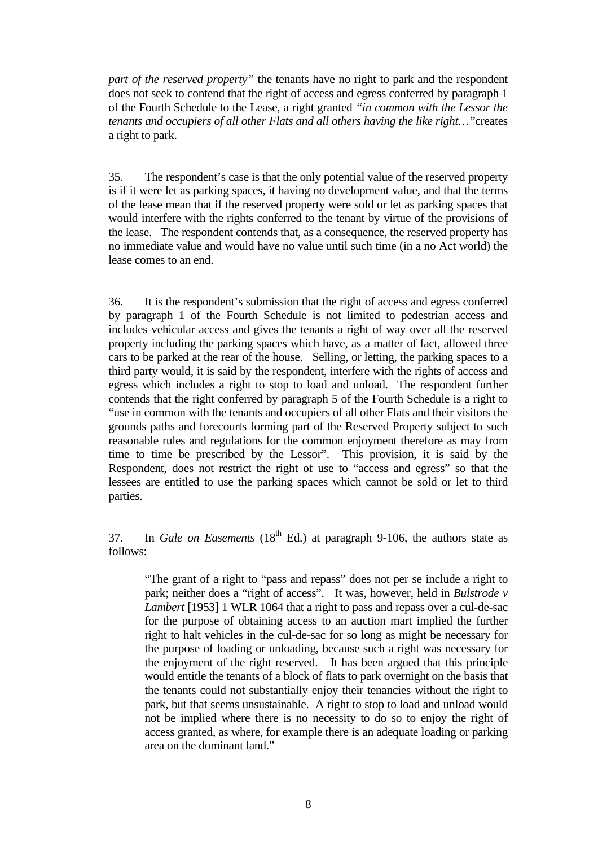*part of the reserved property"* the tenants have no right to park and the respondent does not seek to contend that the right of access and egress conferred by paragraph 1 of the Fourth Schedule to the Lease, a right granted *"in common with the Lessor the tenants and occupiers of all other Flats and all others having the like right…"*creates a right to park.

35. The respondent's case is that the only potential value of the reserved property is if it were let as parking spaces, it having no development value, and that the terms of the lease mean that if the reserved property were sold or let as parking spaces that would interfere with the rights conferred to the tenant by virtue of the provisions of the lease. The respondent contends that, as a consequence, the reserved property has no immediate value and would have no value until such time (in a no Act world) the lease comes to an end.

36. It is the respondent's submission that the right of access and egress conferred by paragraph 1 of the Fourth Schedule is not limited to pedestrian access and includes vehicular access and gives the tenants a right of way over all the reserved property including the parking spaces which have, as a matter of fact, allowed three cars to be parked at the rear of the house. Selling, or letting, the parking spaces to a third party would, it is said by the respondent, interfere with the rights of access and egress which includes a right to stop to load and unload. The respondent further contends that the right conferred by paragraph 5 of the Fourth Schedule is a right to "use in common with the tenants and occupiers of all other Flats and their visitors the grounds paths and forecourts forming part of the Reserved Property subject to such reasonable rules and regulations for the common enjoyment therefore as may from time to time be prescribed by the Lessor". This provision, it is said by the Respondent, does not restrict the right of use to "access and egress" so that the lessees are entitled to use the parking spaces which cannot be sold or let to third parties.

37. In *Gale on Easements* (18th Ed.) at paragraph 9-106, the authors state as follows:

"The grant of a right to "pass and repass" does not per se include a right to park; neither does a "right of access". It was, however, held in *Bulstrode v Lambert* [1953] 1 WLR 1064 that a right to pass and repass over a cul-de-sac for the purpose of obtaining access to an auction mart implied the further right to halt vehicles in the cul-de-sac for so long as might be necessary for the purpose of loading or unloading, because such a right was necessary for the enjoyment of the right reserved. It has been argued that this principle would entitle the tenants of a block of flats to park overnight on the basis that the tenants could not substantially enjoy their tenancies without the right to park, but that seems unsustainable. A right to stop to load and unload would not be implied where there is no necessity to do so to enjoy the right of access granted, as where, for example there is an adequate loading or parking area on the dominant land."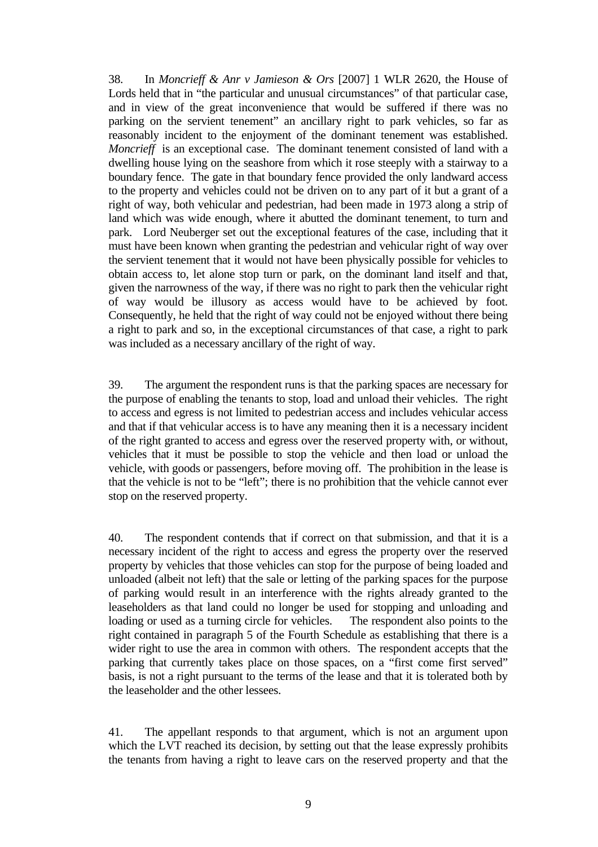38. In *Moncrieff & Anr v Jamieson & Ors* [2007] 1 WLR 2620, the House of Lords held that in "the particular and unusual circumstances" of that particular case, and in view of the great inconvenience that would be suffered if there was no parking on the servient tenement" an ancillary right to park vehicles, so far as reasonably incident to the enjoyment of the dominant tenement was established. *Moncrieff* is an exceptional case. The dominant tenement consisted of land with a dwelling house lying on the seashore from which it rose steeply with a stairway to a boundary fence. The gate in that boundary fence provided the only landward access to the property and vehicles could not be driven on to any part of it but a grant of a right of way, both vehicular and pedestrian, had been made in 1973 along a strip of land which was wide enough, where it abutted the dominant tenement, to turn and park. Lord Neuberger set out the exceptional features of the case, including that it must have been known when granting the pedestrian and vehicular right of way over the servient tenement that it would not have been physically possible for vehicles to obtain access to, let alone stop turn or park, on the dominant land itself and that, given the narrowness of the way, if there was no right to park then the vehicular right of way would be illusory as access would have to be achieved by foot. Consequently, he held that the right of way could not be enjoyed without there being a right to park and so, in the exceptional circumstances of that case, a right to park was included as a necessary ancillary of the right of way.

39. The argument the respondent runs is that the parking spaces are necessary for the purpose of enabling the tenants to stop, load and unload their vehicles. The right to access and egress is not limited to pedestrian access and includes vehicular access and that if that vehicular access is to have any meaning then it is a necessary incident of the right granted to access and egress over the reserved property with, or without, vehicles that it must be possible to stop the vehicle and then load or unload the vehicle, with goods or passengers, before moving off. The prohibition in the lease is that the vehicle is not to be "left"; there is no prohibition that the vehicle cannot ever stop on the reserved property.

40. The respondent contends that if correct on that submission, and that it is a necessary incident of the right to access and egress the property over the reserved property by vehicles that those vehicles can stop for the purpose of being loaded and unloaded (albeit not left) that the sale or letting of the parking spaces for the purpose of parking would result in an interference with the rights already granted to the leaseholders as that land could no longer be used for stopping and unloading and loading or used as a turning circle for vehicles. The respondent also points to the right contained in paragraph 5 of the Fourth Schedule as establishing that there is a wider right to use the area in common with others. The respondent accepts that the parking that currently takes place on those spaces, on a "first come first served" basis, is not a right pursuant to the terms of the lease and that it is tolerated both by the leaseholder and the other lessees.

41. The appellant responds to that argument, which is not an argument upon which the LVT reached its decision, by setting out that the lease expressly prohibits the tenants from having a right to leave cars on the reserved property and that the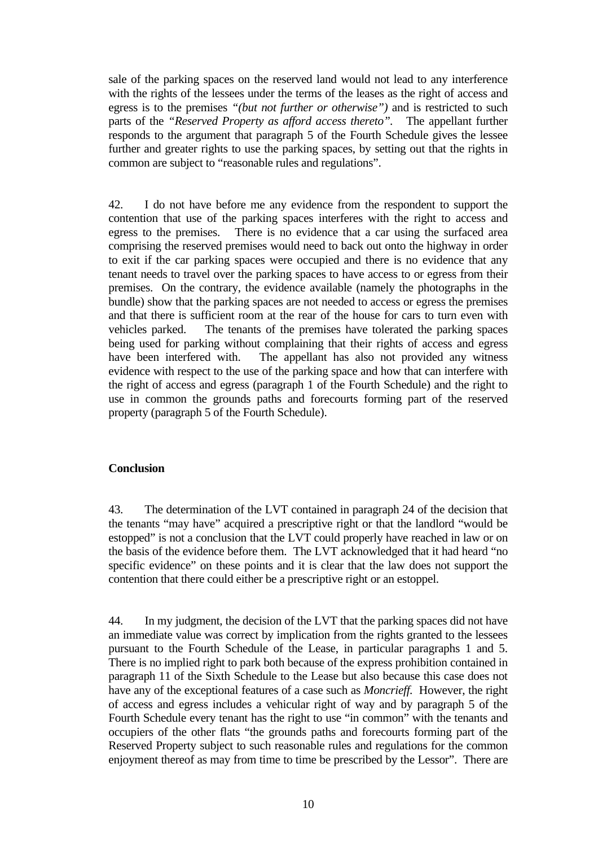sale of the parking spaces on the reserved land would not lead to any interference with the rights of the lessees under the terms of the leases as the right of access and egress is to the premises *"(but not further or otherwise")* and is restricted to such parts of the *"Reserved Property as afford access thereto".* The appellant further responds to the argument that paragraph 5 of the Fourth Schedule gives the lessee further and greater rights to use the parking spaces, by setting out that the rights in common are subject to "reasonable rules and regulations".

42. I do not have before me any evidence from the respondent to support the contention that use of the parking spaces interferes with the right to access and egress to the premises. There is no evidence that a car using the surfaced area comprising the reserved premises would need to back out onto the highway in order to exit if the car parking spaces were occupied and there is no evidence that any tenant needs to travel over the parking spaces to have access to or egress from their premises. On the contrary, the evidence available (namely the photographs in the bundle) show that the parking spaces are not needed to access or egress the premises and that there is sufficient room at the rear of the house for cars to turn even with vehicles parked. The tenants of the premises have tolerated the parking spaces being used for parking without complaining that their rights of access and egress have been interfered with. The appellant has also not provided any witness evidence with respect to the use of the parking space and how that can interfere with the right of access and egress (paragraph 1 of the Fourth Schedule) and the right to use in common the grounds paths and forecourts forming part of the reserved property (paragraph 5 of the Fourth Schedule).

## **Conclusion**

43. The determination of the LVT contained in paragraph 24 of the decision that the tenants "may have" acquired a prescriptive right or that the landlord "would be estopped" is not a conclusion that the LVT could properly have reached in law or on the basis of the evidence before them. The LVT acknowledged that it had heard "no specific evidence" on these points and it is clear that the law does not support the contention that there could either be a prescriptive right or an estoppel.

44. In my judgment, the decision of the LVT that the parking spaces did not have an immediate value was correct by implication from the rights granted to the lessees pursuant to the Fourth Schedule of the Lease, in particular paragraphs 1 and 5. There is no implied right to park both because of the express prohibition contained in paragraph 11 of the Sixth Schedule to the Lease but also because this case does not have any of the exceptional features of a case such as *Moncrieff.* However, the right of access and egress includes a vehicular right of way and by paragraph 5 of the Fourth Schedule every tenant has the right to use "in common" with the tenants and occupiers of the other flats "the grounds paths and forecourts forming part of the Reserved Property subject to such reasonable rules and regulations for the common enjoyment thereof as may from time to time be prescribed by the Lessor". There are